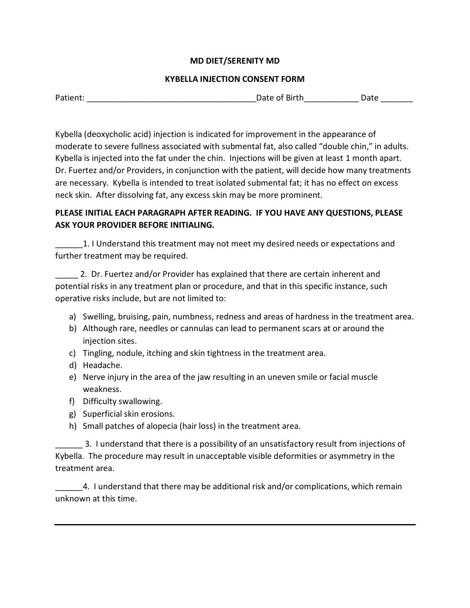## **MD DIET/SERENITY MD**

## **KYBELLA INJECTION CONSENT FORM**

| PATH | .<br>יי<br>. | . . |  |
|------|--------------|-----|--|
|------|--------------|-----|--|

Kybella (deoxycholic acid) injection is indicated for improvement in the appearance of moderate to severe fullness associated with submental fat, also called "double chin," in adults. Kybella is injected into the fat under the chin. Injections will be given at least 1 month apart. Dr. Fuertez and/or Providers, in conjunction with the patient, will decide how many treatments are necessary. Kybella is intended to treat isolated submental fat; it has no effect on excess neck skin. After dissolving fat, any excess skin may be more prominent.

## **PLEASE INITIAL EACH PARAGRAPH AFTER READING. IF YOU HAVE ANY QUESTIONS, PLEASE ASK YOUR PROVIDER BEFORE INITIALING.**

1. I Understand this treatment may not meet my desired needs or expectations and further treatment may be required.

2. Dr. Fuertez and/or Provider has explained that there are certain inherent and potential risks in any treatment plan or procedure, and that in this specific instance, such operative risks include, but are not limited to:

- a) Swelling, bruising, pain, numbness, redness and areas of hardness in the treatment area.
- b) Although rare, needles or cannulas can lead to permanent scars at or around the injection sites.
- c) Tingling, nodule, itching and skin tightness in the treatment area.
- d) Headache.
- e) Nerve injury in the area of the jaw resulting in an uneven smile or facial muscle weakness.
- f) Difficulty swallowing.
- g) Superficial skin erosions.
- h) Small patches of alopecia (hair loss) in the treatment area.

\_\_\_\_\_\_ 3. I understand that there is a possibility of an unsatisfactory result from injections of Kybella. The procedure may result in unacceptable visible deformities or asymmetry in the treatment area.

\_\_\_\_\_\_4. I understand that there may be additional risk and/or complications, which remain unknown at this time.